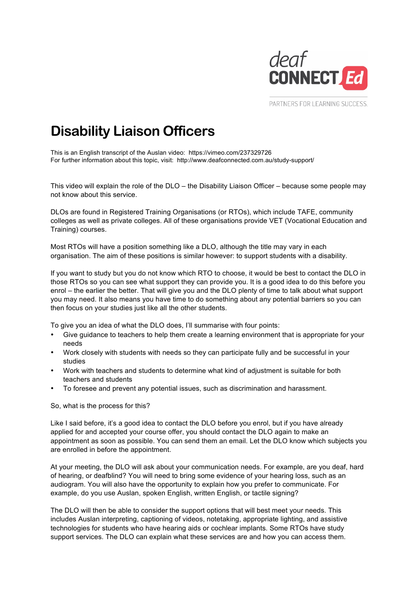

PARTNERS FOR LEARNING SUCCESS.

## **Disability Liaison Officers**

This is an English transcript of the Auslan video: <https://vimeo.com/237329726> For further information about this topic, visit: <http://www.deafconnected.com.au/study-support/>

This video will explain the role of the DLO – the Disability Liaison Officer – because some people may not know about this service.

DLOs are found in Registered Training Organisations (or RTOs), which include TAFE, community colleges as well as private colleges. All of these organisations provide VET (Vocational Education and Training) courses.

Most RTOs will have a position something like a DLO, although the title may vary in each organisation. The aim of these positions is similar however: to support students with a disability.

If you want to study but you do not know which RTO to choose, it would be best to contact the DLO in those RTOs so you can see what support they can provide you. It is a good idea to do this before you enrol – the earlier the better. That will give you and the DLO plenty of time to talk about what support you may need. It also means you have time to do something about any potential barriers so you can then focus on your studies just like all the other students.

To give you an idea of what the DLO does, I'll summarise with four points:

- Give guidance to teachers to help them create a learning environment that is appropriate for your needs
- Work closely with students with needs so they can participate fully and be successful in your studies
- Work with teachers and students to determine what kind of adjustment is suitable for both teachers and students
- To foresee and prevent any potential issues, such as discrimination and harassment.

So, what is the process for this?

Like I said before, it's a good idea to contact the DLO before you enrol, but if you have already applied for and accepted your course offer, you should contact the DLO again to make an appointment as soon as possible. You can send them an email. Let the DLO know which subjects you are enrolled in before the appointment.

At your meeting, the DLO will ask about your communication needs. For example, are you deaf, hard of hearing, or deafblind? You will need to bring some evidence of your hearing loss, such as an audiogram. You will also have the opportunity to explain how you prefer to communicate. For example, do you use Auslan, spoken English, written English, or tactile signing?

The DLO will then be able to consider the support options that will best meet your needs. This includes Auslan interpreting, captioning of videos, notetaking, appropriate lighting, and assistive technologies for students who have hearing aids or cochlear implants. Some RTOs have study support services. The DLO can explain what these services are and how you can access them.